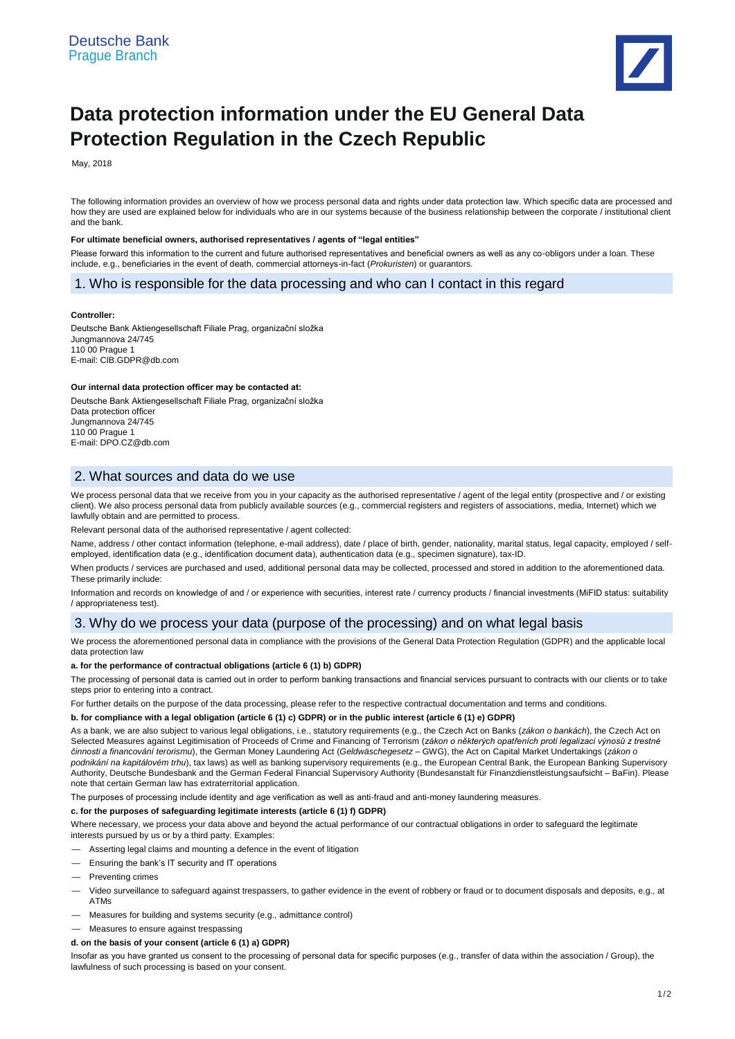

# **Data protection information under the EU General Data Protection Regulation in the Czech Republic**

May, 2018

The following information provides an overview of how we process personal data and rights under data protection law. Which specific data are processed and how they are used are explained below for individuals who are in our systems because of the business relationship between the corporate / institutional client and the bank.

#### **For ultimate beneficial owners, authorised representatives / agents of "legal entities"**

Please forward this information to the current and future authorised representatives and beneficial owners as well as any co-obligors under a loan. These include, e.g., beneficiaries in the event of death, commercial attorneys-in-fact (*Prokuristen*) or guarantors.

# 1. Who is responsible for the data processing and who can I contact in this regard

#### **Controller:**

Deutsche Bank Aktiengesellschaft Filiale Prag, organizační složka Jungmannova 24/745 110 00 Prague 1 E-mail[: CIB.GDPR@db.com](mailto:CIB.GDPR@db.com)

## **Our internal data protection officer may be contacted at:**

Deutsche Bank Aktiengesellschaft Filiale Prag, organizační složka Data protection officer Jungmannova 24/745 110 00 Prague 1 E-mail: DPO.CZ@db.com

# 2. What sources and data do we use

We process personal data that we receive from you in your capacity as the authorised representative / agent of the legal entity (prospective and / or existing client). We also process personal data from publicly available sources (e.g., commercial registers and registers of associations, media, Internet) which we lawfully obtain and are permitted to process.

Relevant personal data of the authorised representative / agent collected:

Name, address / other contact information (telephone, e-mail address), date / place of birth, gender, nationality, marital status, legal capacity, employed / selfemployed, identification data (e.g., identification document data), authentication data (e.g., specimen signature), tax-ID.

When products / services are purchased and used, additional personal data may be collected, processed and stored in addition to the aforementioned data. These primarily include:

Information and records on knowledge of and / or experience with securities, interest rate / currency products / financial investments (MiFID status: suitability / appropriateness test).

# 3. Why do we process your data (purpose of the processing) and on what legal basis

We process the aforementioned personal data in compliance with the provisions of the General Data Protection Regulation (GDPR) and the applicable local data protection law

## **a. for the performance of contractual obligations (article 6 (1) b) GDPR)**

The processing of personal data is carried out in order to perform banking transactions and financial services pursuant to contracts with our clients or to take steps prior to entering into a contract.

For further details on the purpose of the data processing, please refer to the respective contractual documentation and terms and conditions.

## **b. for compliance with a legal obligation (article 6 (1) c) GDPR) or in the public interest (article 6 (1) e) GDPR)**

As a bank, we are also subject to various legal obligations, i.e., statutory requirements (e.g., the Czech Act on Banks (*zákon o bankách*), the Czech Act on Selected Measures against Legitimisation of Proceeds of Crime and Financing of Terrorism (*zákon o některých opatřeních proti legalizaci výnosů z trestné činnosti a financování terorismu*), the German Money Laundering Act (*Geldwäschegesetz* – GWG), the Act on Capital Market Undertakings (*zákon o podnikání na kapitálovém trhu*), tax laws) as well as banking supervisory requirements (e.g., the European Central Bank, the European Banking Supervisory Authority, Deutsche Bundesbank and the German Federal Financial Supervisory Authority (Bundesanstalt für Finanzdienstleistungsaufsicht – BaFin). Please note that certain German law has extraterritorial application.

The purposes of processing include identity and age verification as well as anti-fraud and anti-money laundering measures.

## **c. for the purposes of safeguarding legitimate interests (article 6 (1) f) GDPR)**

Where necessary, we process your data above and beyond the actual performance of our contractual obligations in order to safeguard the legitimate interests pursued by us or by a third party. Examples:

- Asserting legal claims and mounting a defence in the event of litigation
- Ensuring the bank's IT security and IT operations
- Preventing crimes
- Video surveillance to safeguard against trespassers, to gather evidence in the event of robbery or fraud or to document disposals and deposits, e.g., at ATMs
- Measures for building and systems security (e.g., admittance control)
- Measures to ensure against trespassing
- **d. on the basis of your consent (article 6 (1) a) GDPR)**

Insofar as you have granted us consent to the processing of personal data for specific purposes (e.g., transfer of data within the association / Group), the lawfulness of such processing is based on your consent.